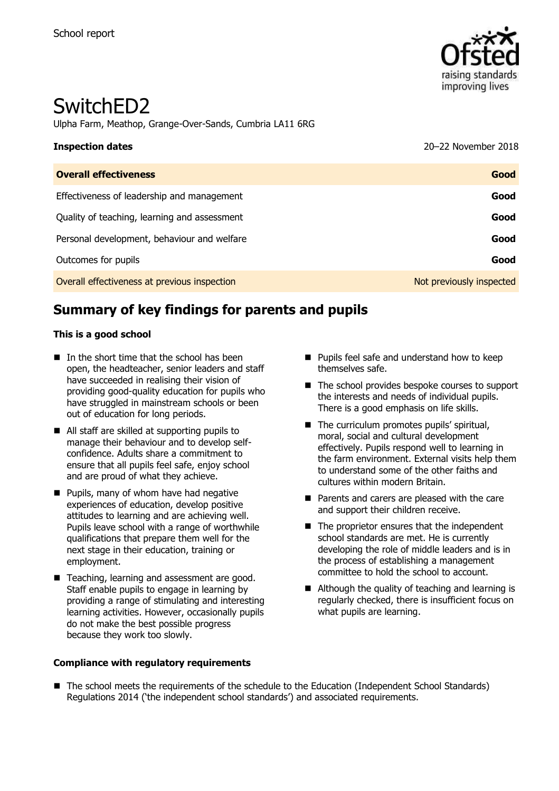

# SwitchED2

Ulpha Farm, Meathop, Grange-Over-Sands, Cumbria LA11 6RG

| <b>Inspection dates</b>                      | 20-22 November 2018      |
|----------------------------------------------|--------------------------|
| <b>Overall effectiveness</b>                 | Good                     |
| Effectiveness of leadership and management   | Good                     |
| Quality of teaching, learning and assessment | Good                     |
| Personal development, behaviour and welfare  | Good                     |
| Outcomes for pupils                          | Good                     |
| Overall effectiveness at previous inspection | Not previously inspected |

# **Summary of key findings for parents and pupils**

#### **This is a good school**

- $\blacksquare$  In the short time that the school has been open, the headteacher, senior leaders and staff have succeeded in realising their vision of providing good-quality education for pupils who have struggled in mainstream schools or been out of education for long periods.
- All staff are skilled at supporting pupils to manage their behaviour and to develop selfconfidence. Adults share a commitment to ensure that all pupils feel safe, enjoy school and are proud of what they achieve.
- Pupils, many of whom have had negative experiences of education, develop positive attitudes to learning and are achieving well. Pupils leave school with a range of worthwhile qualifications that prepare them well for the next stage in their education, training or employment.
- Teaching, learning and assessment are good. Staff enable pupils to engage in learning by providing a range of stimulating and interesting learning activities. However, occasionally pupils do not make the best possible progress because they work too slowly.
- **Pupils feel safe and understand how to keep** themselves safe.
- The school provides bespoke courses to support the interests and needs of individual pupils. There is a good emphasis on life skills.
- The curriculum promotes pupils' spiritual, moral, social and cultural development effectively. Pupils respond well to learning in the farm environment. External visits help them to understand some of the other faiths and cultures within modern Britain.
- **Parents and carers are pleased with the care** and support their children receive.
- $\blacksquare$  The proprietor ensures that the independent school standards are met. He is currently developing the role of middle leaders and is in the process of establishing a management committee to hold the school to account.
- Although the quality of teaching and learning is regularly checked, there is insufficient focus on what pupils are learning.

#### **Compliance with regulatory requirements**

■ The school meets the requirements of the schedule to the Education (Independent School Standards) Regulations 2014 ('the independent school standards') and associated requirements.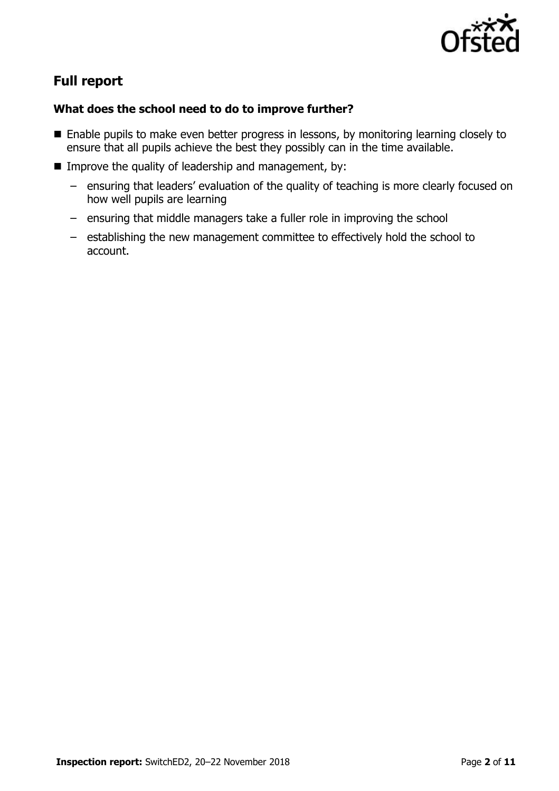

# **Full report**

### **What does the school need to do to improve further?**

- Enable pupils to make even better progress in lessons, by monitoring learning closely to ensure that all pupils achieve the best they possibly can in the time available.
- Improve the quality of leadership and management, by:
	- ensuring that leaders' evaluation of the quality of teaching is more clearly focused on how well pupils are learning
	- ensuring that middle managers take a fuller role in improving the school
	- establishing the new management committee to effectively hold the school to account.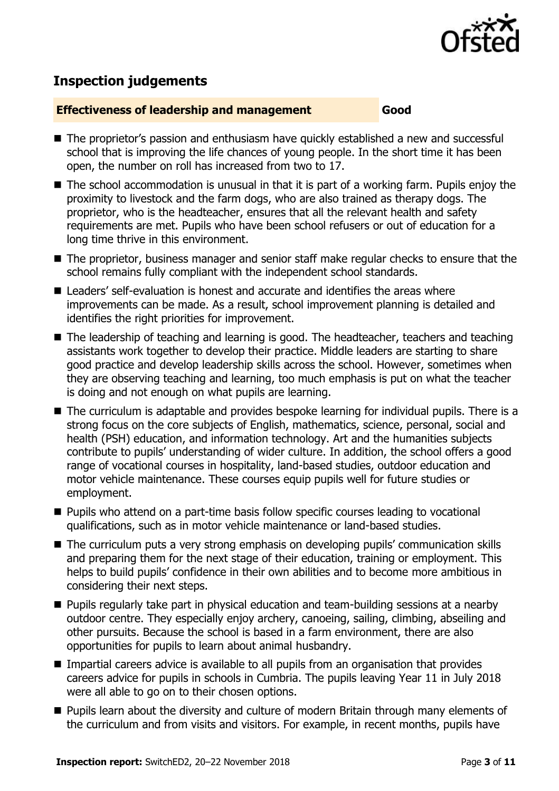

## **Inspection judgements**

#### **Effectiveness of leadership and management Good**

- The proprietor's passion and enthusiasm have quickly established a new and successful school that is improving the life chances of young people. In the short time it has been open, the number on roll has increased from two to 17.
- The school accommodation is unusual in that it is part of a working farm. Pupils enjoy the proximity to livestock and the farm dogs, who are also trained as therapy dogs. The proprietor, who is the headteacher, ensures that all the relevant health and safety requirements are met. Pupils who have been school refusers or out of education for a long time thrive in this environment.
- The proprietor, business manager and senior staff make regular checks to ensure that the school remains fully compliant with the independent school standards.
- Leaders' self-evaluation is honest and accurate and identifies the areas where improvements can be made. As a result, school improvement planning is detailed and identifies the right priorities for improvement.
- The leadership of teaching and learning is good. The headteacher, teachers and teaching assistants work together to develop their practice. Middle leaders are starting to share good practice and develop leadership skills across the school. However, sometimes when they are observing teaching and learning, too much emphasis is put on what the teacher is doing and not enough on what pupils are learning.
- The curriculum is adaptable and provides bespoke learning for individual pupils. There is a strong focus on the core subjects of English, mathematics, science, personal, social and health (PSH) education, and information technology. Art and the humanities subjects contribute to pupils' understanding of wider culture. In addition, the school offers a good range of vocational courses in hospitality, land-based studies, outdoor education and motor vehicle maintenance. These courses equip pupils well for future studies or employment.
- **Pupils who attend on a part-time basis follow specific courses leading to vocational** qualifications, such as in motor vehicle maintenance or land-based studies.
- The curriculum puts a very strong emphasis on developing pupils' communication skills and preparing them for the next stage of their education, training or employment. This helps to build pupils' confidence in their own abilities and to become more ambitious in considering their next steps.
- **Pupils regularly take part in physical education and team-building sessions at a nearby** outdoor centre. They especially enjoy archery, canoeing, sailing, climbing, abseiling and other pursuits. Because the school is based in a farm environment, there are also opportunities for pupils to learn about animal husbandry.
- **IMPARTER INTERS** TIMPARTIAL CARETS advice is available to all pupils from an organisation that provides careers advice for pupils in schools in Cumbria. The pupils leaving Year 11 in July 2018 were all able to go on to their chosen options.
- **Pupils learn about the diversity and culture of modern Britain through many elements of** the curriculum and from visits and visitors. For example, in recent months, pupils have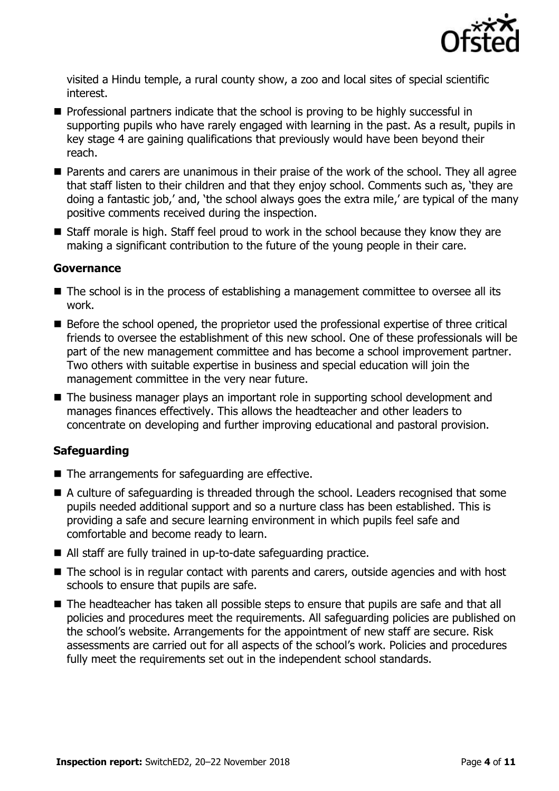

visited a Hindu temple, a rural county show, a zoo and local sites of special scientific interest.

- **Professional partners indicate that the school is proving to be highly successful in** supporting pupils who have rarely engaged with learning in the past. As a result, pupils in key stage 4 are gaining qualifications that previously would have been beyond their reach.
- **Parents and carers are unanimous in their praise of the work of the school. They all agree** that staff listen to their children and that they enjoy school. Comments such as, 'they are doing a fantastic job,' and, 'the school always goes the extra mile,' are typical of the many positive comments received during the inspection.
- Staff morale is high. Staff feel proud to work in the school because they know they are making a significant contribution to the future of the young people in their care.

#### **Governance**

- The school is in the process of establishing a management committee to oversee all its work.
- Before the school opened, the proprietor used the professional expertise of three critical friends to oversee the establishment of this new school. One of these professionals will be part of the new management committee and has become a school improvement partner. Two others with suitable expertise in business and special education will join the management committee in the very near future.
- The business manager plays an important role in supporting school development and manages finances effectively. This allows the headteacher and other leaders to concentrate on developing and further improving educational and pastoral provision.

#### **Safeguarding**

- The arrangements for safeguarding are effective.
- A culture of safeguarding is threaded through the school. Leaders recognised that some pupils needed additional support and so a nurture class has been established. This is providing a safe and secure learning environment in which pupils feel safe and comfortable and become ready to learn.
- All staff are fully trained in up-to-date safeguarding practice.
- The school is in regular contact with parents and carers, outside agencies and with host schools to ensure that pupils are safe.
- The headteacher has taken all possible steps to ensure that pupils are safe and that all policies and procedures meet the requirements. All safeguarding policies are published on the school's website. Arrangements for the appointment of new staff are secure. Risk assessments are carried out for all aspects of the school's work. Policies and procedures fully meet the requirements set out in the independent school standards.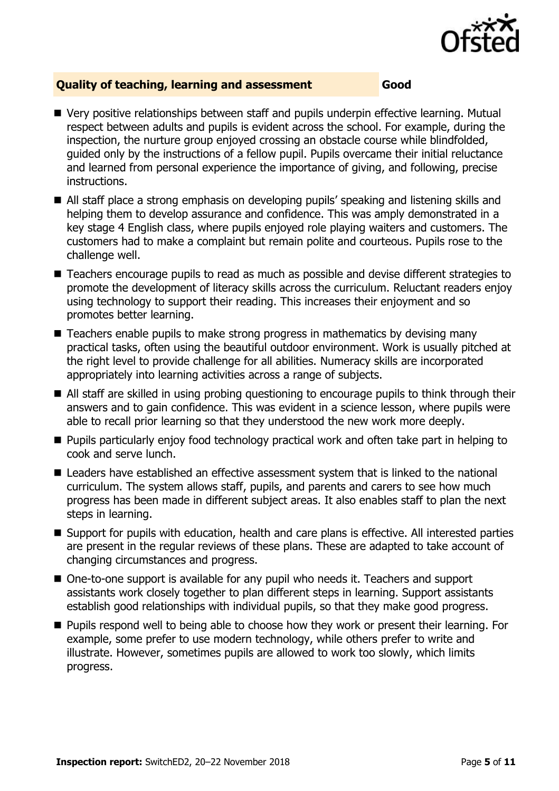

#### **Quality of teaching, learning and assessment Good**

- Very positive relationships between staff and pupils underpin effective learning. Mutual respect between adults and pupils is evident across the school. For example, during the inspection, the nurture group enjoyed crossing an obstacle course while blindfolded, guided only by the instructions of a fellow pupil. Pupils overcame their initial reluctance and learned from personal experience the importance of giving, and following, precise instructions.
- All staff place a strong emphasis on developing pupils' speaking and listening skills and helping them to develop assurance and confidence. This was amply demonstrated in a key stage 4 English class, where pupils enjoyed role playing waiters and customers. The customers had to make a complaint but remain polite and courteous. Pupils rose to the challenge well.
- Teachers encourage pupils to read as much as possible and devise different strategies to promote the development of literacy skills across the curriculum. Reluctant readers enjoy using technology to support their reading. This increases their enjoyment and so promotes better learning.
- Teachers enable pupils to make strong progress in mathematics by devising many practical tasks, often using the beautiful outdoor environment. Work is usually pitched at the right level to provide challenge for all abilities. Numeracy skills are incorporated appropriately into learning activities across a range of subjects.
- All staff are skilled in using probing questioning to encourage pupils to think through their answers and to gain confidence. This was evident in a science lesson, where pupils were able to recall prior learning so that they understood the new work more deeply.
- **Pupils particularly enjoy food technology practical work and often take part in helping to** cook and serve lunch.
- Leaders have established an effective assessment system that is linked to the national curriculum. The system allows staff, pupils, and parents and carers to see how much progress has been made in different subject areas. It also enables staff to plan the next steps in learning.
- Support for pupils with education, health and care plans is effective. All interested parties are present in the regular reviews of these plans. These are adapted to take account of changing circumstances and progress.
- One-to-one support is available for any pupil who needs it. Teachers and support assistants work closely together to plan different steps in learning. Support assistants establish good relationships with individual pupils, so that they make good progress.
- **Pupils respond well to being able to choose how they work or present their learning. For** example, some prefer to use modern technology, while others prefer to write and illustrate. However, sometimes pupils are allowed to work too slowly, which limits progress.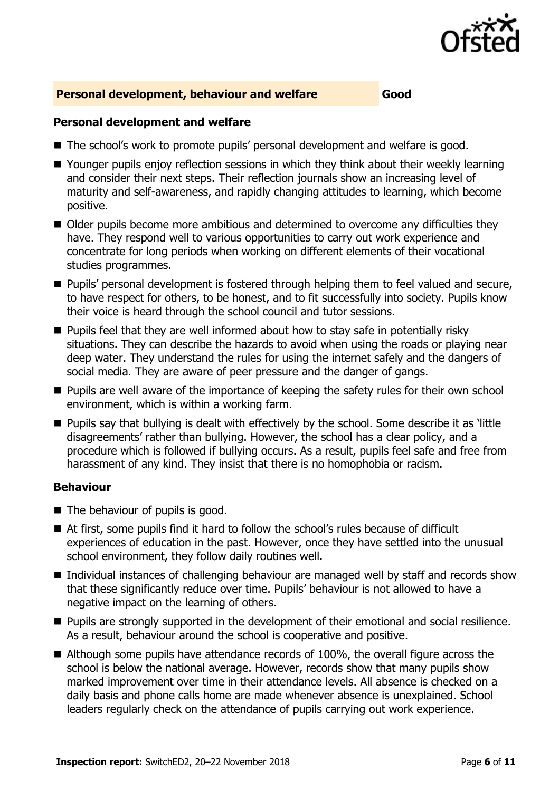

#### **Personal development, behaviour and welfare Good**

#### **Personal development and welfare**

- The school's work to promote pupils' personal development and welfare is good.
- Younger pupils enjoy reflection sessions in which they think about their weekly learning and consider their next steps. Their reflection journals show an increasing level of maturity and self-awareness, and rapidly changing attitudes to learning, which become positive.
- Older pupils become more ambitious and determined to overcome any difficulties they have. They respond well to various opportunities to carry out work experience and concentrate for long periods when working on different elements of their vocational studies programmes.
- **Pupils' personal development is fostered through helping them to feel valued and secure,** to have respect for others, to be honest, and to fit successfully into society. Pupils know their voice is heard through the school council and tutor sessions.
- $\blacksquare$  Pupils feel that they are well informed about how to stay safe in potentially risky situations. They can describe the hazards to avoid when using the roads or playing near deep water. They understand the rules for using the internet safely and the dangers of social media. They are aware of peer pressure and the danger of gangs.
- **Pupils are well aware of the importance of keeping the safety rules for their own school** environment, which is within a working farm.
- **Pupils say that bullying is dealt with effectively by the school. Some describe it as 'little** disagreements' rather than bullying. However, the school has a clear policy, and a procedure which is followed if bullying occurs. As a result, pupils feel safe and free from harassment of any kind. They insist that there is no homophobia or racism.

#### **Behaviour**

- The behaviour of pupils is good.
- At first, some pupils find it hard to follow the school's rules because of difficult experiences of education in the past. However, once they have settled into the unusual school environment, they follow daily routines well.
- Individual instances of challenging behaviour are managed well by staff and records show that these significantly reduce over time. Pupils' behaviour is not allowed to have a negative impact on the learning of others.
- **Pupils are strongly supported in the development of their emotional and social resilience.** As a result, behaviour around the school is cooperative and positive.
- Although some pupils have attendance records of 100%, the overall figure across the school is below the national average. However, records show that many pupils show marked improvement over time in their attendance levels. All absence is checked on a daily basis and phone calls home are made whenever absence is unexplained. School leaders regularly check on the attendance of pupils carrying out work experience.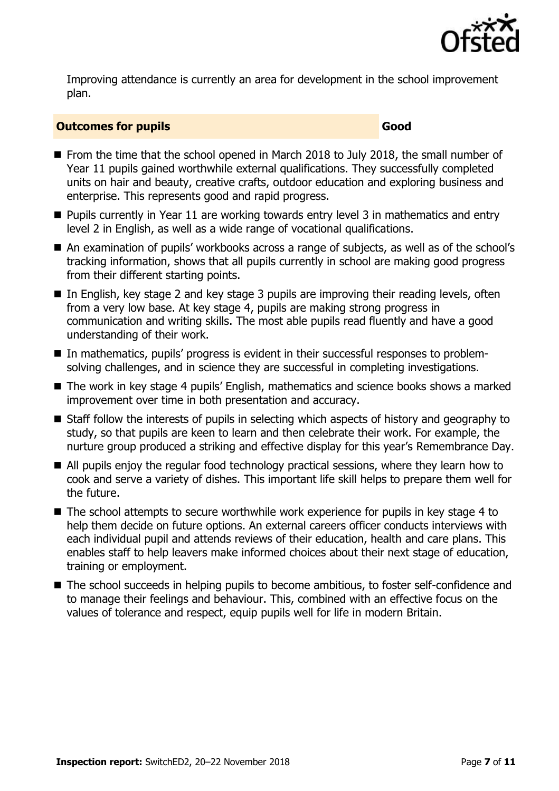

Improving attendance is currently an area for development in the school improvement plan.

#### **Outcomes for pupils Good**

- From the time that the school opened in March 2018 to July 2018, the small number of Year 11 pupils gained worthwhile external qualifications. They successfully completed units on hair and beauty, creative crafts, outdoor education and exploring business and enterprise. This represents good and rapid progress.
- **Pupils currently in Year 11 are working towards entry level 3 in mathematics and entry** level 2 in English, as well as a wide range of vocational qualifications.
- An examination of pupils' workbooks across a range of subjects, as well as of the school's tracking information, shows that all pupils currently in school are making good progress from their different starting points.
- In English, key stage 2 and key stage 3 pupils are improving their reading levels, often from a very low base. At key stage 4, pupils are making strong progress in communication and writing skills. The most able pupils read fluently and have a good understanding of their work.
- In mathematics, pupils' progress is evident in their successful responses to problemsolving challenges, and in science they are successful in completing investigations.
- The work in key stage 4 pupils' English, mathematics and science books shows a marked improvement over time in both presentation and accuracy.
- Staff follow the interests of pupils in selecting which aspects of history and geography to study, so that pupils are keen to learn and then celebrate their work. For example, the nurture group produced a striking and effective display for this year's Remembrance Day.
- All pupils enjoy the regular food technology practical sessions, where they learn how to cook and serve a variety of dishes. This important life skill helps to prepare them well for the future.
- The school attempts to secure worthwhile work experience for pupils in key stage 4 to help them decide on future options. An external careers officer conducts interviews with each individual pupil and attends reviews of their education, health and care plans. This enables staff to help leavers make informed choices about their next stage of education, training or employment.
- The school succeeds in helping pupils to become ambitious, to foster self-confidence and to manage their feelings and behaviour. This, combined with an effective focus on the values of tolerance and respect, equip pupils well for life in modern Britain.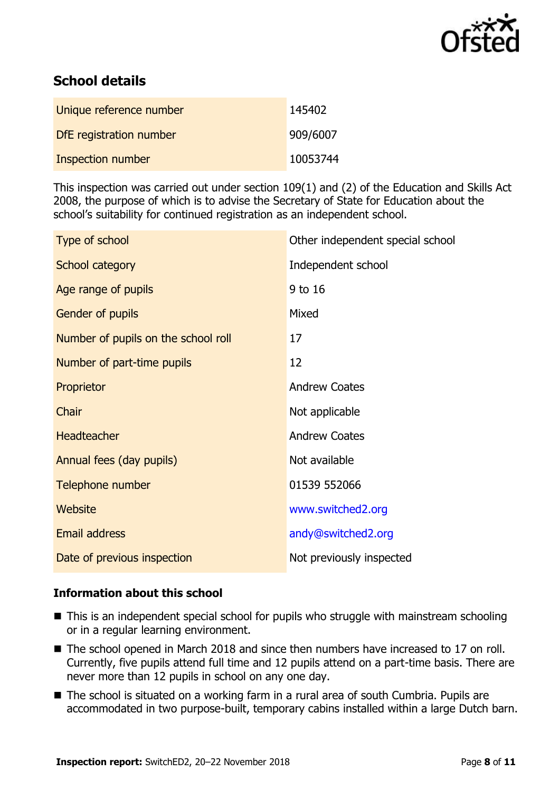

# **School details**

| Unique reference number  | 145402   |
|--------------------------|----------|
| DfE registration number  | 909/6007 |
| <b>Inspection number</b> | 10053744 |

This inspection was carried out under section 109(1) and (2) of the Education and Skills Act 2008, the purpose of which is to advise the Secretary of State for Education about the school's suitability for continued registration as an independent school.

| Type of school                      | Other independent special school |
|-------------------------------------|----------------------------------|
| School category                     | Independent school               |
| Age range of pupils                 | 9 to 16                          |
| Gender of pupils                    | Mixed                            |
| Number of pupils on the school roll | 17                               |
| Number of part-time pupils          | 12                               |
| Proprietor                          | <b>Andrew Coates</b>             |
| Chair                               | Not applicable                   |
| <b>Headteacher</b>                  | <b>Andrew Coates</b>             |
| Annual fees (day pupils)            | Not available                    |
| Telephone number                    | 01539 552066                     |
| Website                             | www.switched2.org                |
| <b>Email address</b>                | andy@switched2.org               |
| Date of previous inspection         | Not previously inspected         |

#### **Information about this school**

- This is an independent special school for pupils who struggle with mainstream schooling or in a regular learning environment.
- The school opened in March 2018 and since then numbers have increased to 17 on roll. Currently, five pupils attend full time and 12 pupils attend on a part-time basis. There are never more than 12 pupils in school on any one day.
- The school is situated on a working farm in a rural area of south Cumbria. Pupils are accommodated in two purpose-built, temporary cabins installed within a large Dutch barn.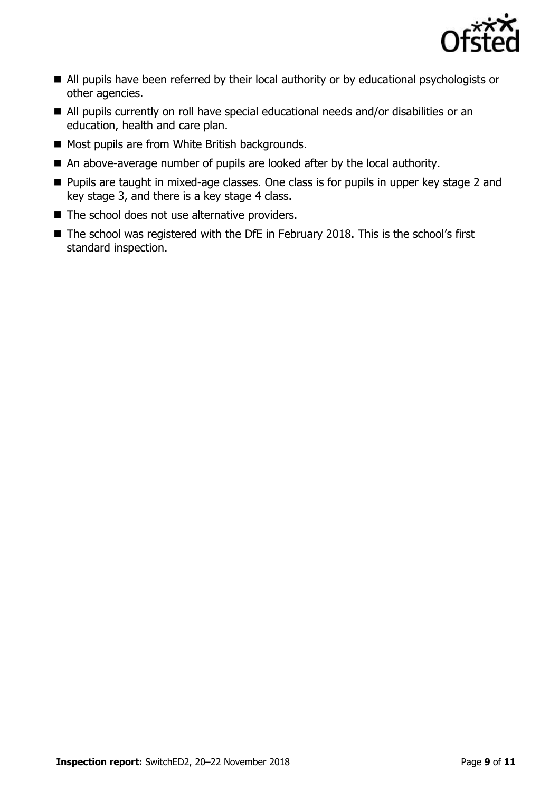

- All pupils have been referred by their local authority or by educational psychologists or other agencies.
- All pupils currently on roll have special educational needs and/or disabilities or an education, health and care plan.
- Most pupils are from White British backgrounds.
- An above-average number of pupils are looked after by the local authority.
- **Pupils are taught in mixed-age classes. One class is for pupils in upper key stage 2 and** key stage 3, and there is a key stage 4 class.
- $\blacksquare$  The school does not use alternative providers.
- The school was registered with the DfE in February 2018. This is the school's first standard inspection.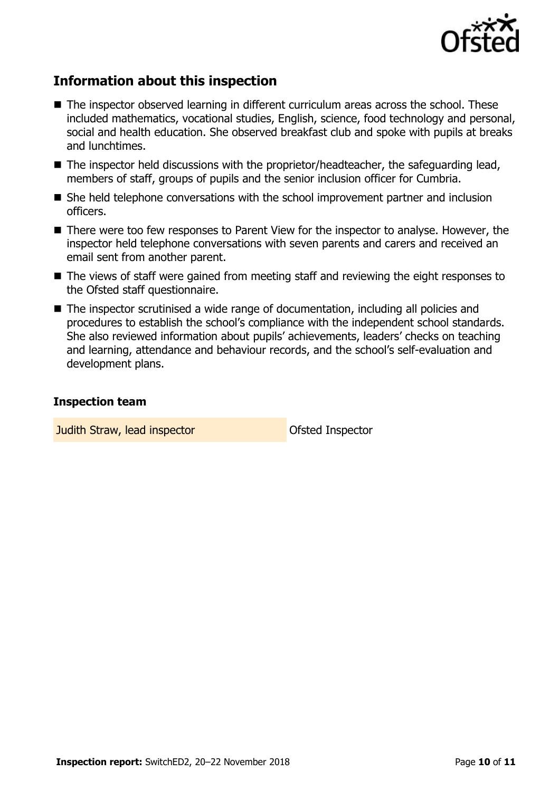

# **Information about this inspection**

- The inspector observed learning in different curriculum areas across the school. These included mathematics, vocational studies, English, science, food technology and personal, social and health education. She observed breakfast club and spoke with pupils at breaks and lunchtimes.
- The inspector held discussions with the proprietor/headteacher, the safeguarding lead, members of staff, groups of pupils and the senior inclusion officer for Cumbria.
- She held telephone conversations with the school improvement partner and inclusion officers.
- There were too few responses to Parent View for the inspector to analyse. However, the inspector held telephone conversations with seven parents and carers and received an email sent from another parent.
- The views of staff were gained from meeting staff and reviewing the eight responses to the Ofsted staff questionnaire.
- The inspector scrutinised a wide range of documentation, including all policies and procedures to establish the school's compliance with the independent school standards. She also reviewed information about pupils' achievements, leaders' checks on teaching and learning, attendance and behaviour records, and the school's self-evaluation and development plans.

#### **Inspection team**

**Judith Straw, lead inspector Construction Construction Construction Construction Construction Construction**